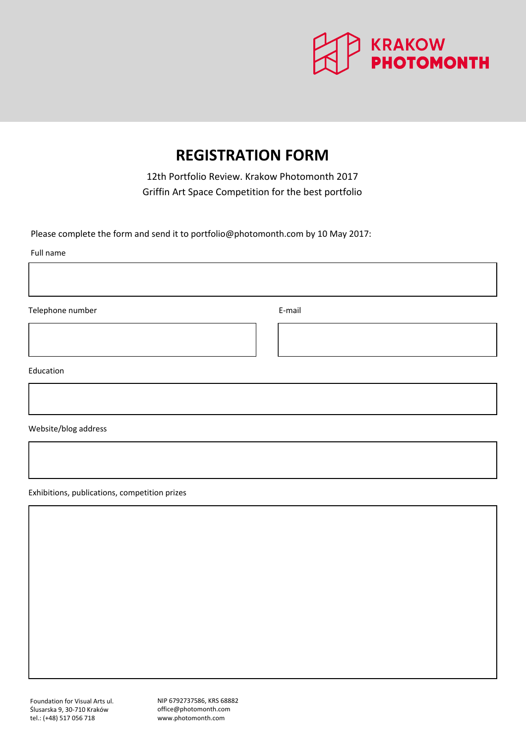

# **REGISTRATION FORM**

12th Portfolio Review. Krakow Photomonth 2017 Griffin Art Space Competition for the best portfolio

Please complete the form and send it to portfolio@photomonth.com by 10 [May 201](mailto:portfolio@photomonth.com)7:

Full name

Telephone number **E-mail** 

Education

Website/blog address

Exhibitions, publications, competition prizes